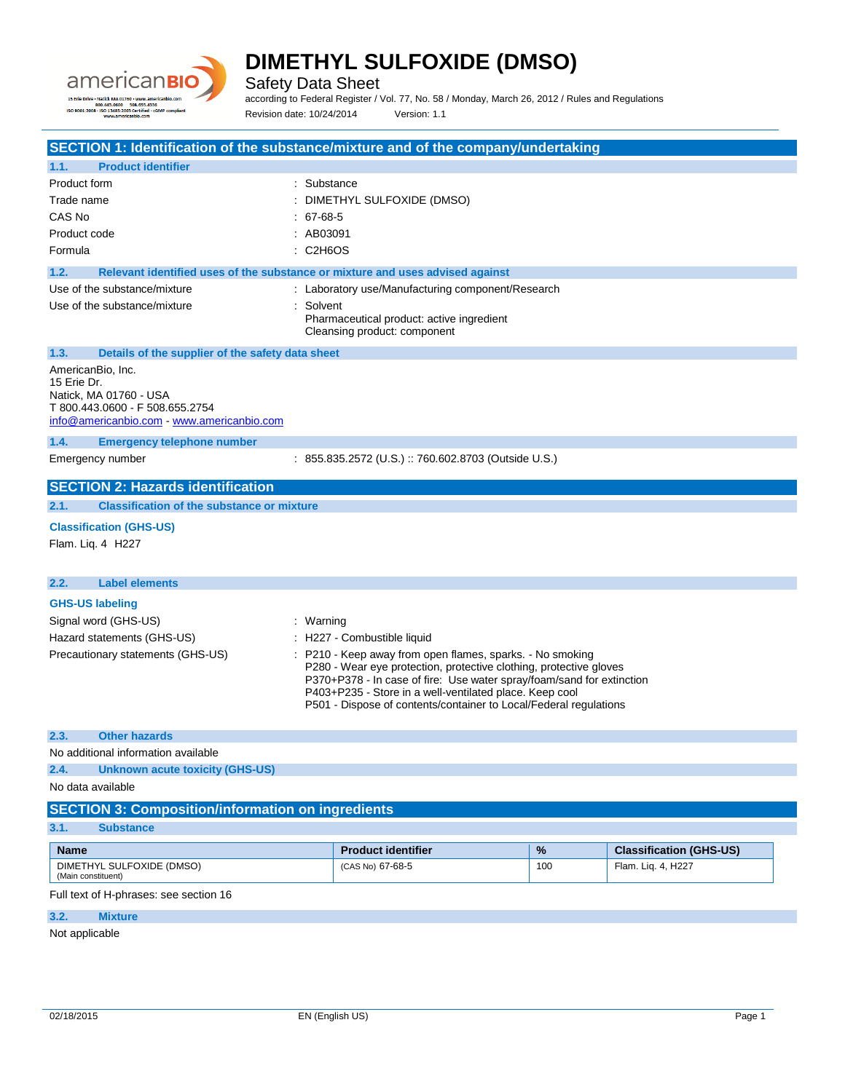

Safety Data Sheet

according to Federal Register / Vol. 77, No. 58 / Monday, March 26, 2012 / Rules and Regulations Revision date: 10/24/2014 Version: 1.1

| SECTION 1: Identification of the substance/mixture and of the company/undertaking                                                           |                                                                                                                                                                                                                                                                                                                                                                       |      |                                |
|---------------------------------------------------------------------------------------------------------------------------------------------|-----------------------------------------------------------------------------------------------------------------------------------------------------------------------------------------------------------------------------------------------------------------------------------------------------------------------------------------------------------------------|------|--------------------------------|
| <b>Product identifier</b><br>1.1.                                                                                                           |                                                                                                                                                                                                                                                                                                                                                                       |      |                                |
| Product form<br>: Substance                                                                                                                 |                                                                                                                                                                                                                                                                                                                                                                       |      |                                |
| Trade name                                                                                                                                  | DIMETHYL SULFOXIDE (DMSO)                                                                                                                                                                                                                                                                                                                                             |      |                                |
| CAS No<br>: 67-68-5                                                                                                                         |                                                                                                                                                                                                                                                                                                                                                                       |      |                                |
| : AB03091<br>Product code                                                                                                                   |                                                                                                                                                                                                                                                                                                                                                                       |      |                                |
| : C2H6OS<br>Formula                                                                                                                         |                                                                                                                                                                                                                                                                                                                                                                       |      |                                |
| Relevant identified uses of the substance or mixture and uses advised against<br>1.2.                                                       |                                                                                                                                                                                                                                                                                                                                                                       |      |                                |
| Use of the substance/mixture                                                                                                                | : Laboratory use/Manufacturing component/Research                                                                                                                                                                                                                                                                                                                     |      |                                |
| Use of the substance/mixture<br>: Solvent                                                                                                   | Pharmaceutical product: active ingredient<br>Cleansing product: component                                                                                                                                                                                                                                                                                             |      |                                |
| 1.3.<br>Details of the supplier of the safety data sheet                                                                                    |                                                                                                                                                                                                                                                                                                                                                                       |      |                                |
| AmericanBio, Inc.<br>15 Erie Dr.<br>Natick, MA 01760 - USA<br>T 800.443.0600 - F 508.655.2754<br>info@americanbio.com - www.americanbio.com |                                                                                                                                                                                                                                                                                                                                                                       |      |                                |
| 1.4.<br><b>Emergency telephone number</b>                                                                                                   |                                                                                                                                                                                                                                                                                                                                                                       |      |                                |
| Emergency number                                                                                                                            | : 855.835.2572 (U.S.) :: 760.602.8703 (Outside U.S.)                                                                                                                                                                                                                                                                                                                  |      |                                |
| <b>SECTION 2: Hazards identification</b>                                                                                                    |                                                                                                                                                                                                                                                                                                                                                                       |      |                                |
| <b>Classification of the substance or mixture</b><br>2.1.                                                                                   |                                                                                                                                                                                                                                                                                                                                                                       |      |                                |
| <b>Classification (GHS-US)</b><br>Flam. Liq. 4 H227                                                                                         |                                                                                                                                                                                                                                                                                                                                                                       |      |                                |
| <b>Label elements</b><br>2.2.                                                                                                               |                                                                                                                                                                                                                                                                                                                                                                       |      |                                |
| <b>GHS-US labeling</b><br>Signal word (GHS-US)<br>: Warning<br>Hazard statements (GHS-US)<br>Precautionary statements (GHS-US)              | : H227 - Combustible liquid<br>P210 - Keep away from open flames, sparks. - No smoking<br>P280 - Wear eye protection, protective clothing, protective gloves<br>P370+P378 - In case of fire: Use water spray/foam/sand for extinction<br>P403+P235 - Store in a well-ventilated place. Keep cool<br>P501 - Dispose of contents/container to Local/Federal regulations |      |                                |
| 2.3.<br><b>Other hazards</b>                                                                                                                |                                                                                                                                                                                                                                                                                                                                                                       |      |                                |
| No additional information available                                                                                                         |                                                                                                                                                                                                                                                                                                                                                                       |      |                                |
| 2.4.<br><b>Unknown acute toxicity (GHS-US)</b>                                                                                              |                                                                                                                                                                                                                                                                                                                                                                       |      |                                |
| No data available                                                                                                                           |                                                                                                                                                                                                                                                                                                                                                                       |      |                                |
| <b>SECTION 3: Composition/information on ingredients</b>                                                                                    |                                                                                                                                                                                                                                                                                                                                                                       |      |                                |
| 3.1.<br><b>Substance</b>                                                                                                                    |                                                                                                                                                                                                                                                                                                                                                                       |      |                                |
| <b>Name</b>                                                                                                                                 | <b>Product identifier</b>                                                                                                                                                                                                                                                                                                                                             | $\%$ | <b>Classification (GHS-US)</b> |
| DIMETHYL SULFOXIDE (DMSO)<br>(Main constituent)                                                                                             | (CAS No) 67-68-5                                                                                                                                                                                                                                                                                                                                                      | 100  | Flam. Liq. 4, H227             |

Full text of H-phrases: see section 16

### **3.2. Mixture**

Not applicable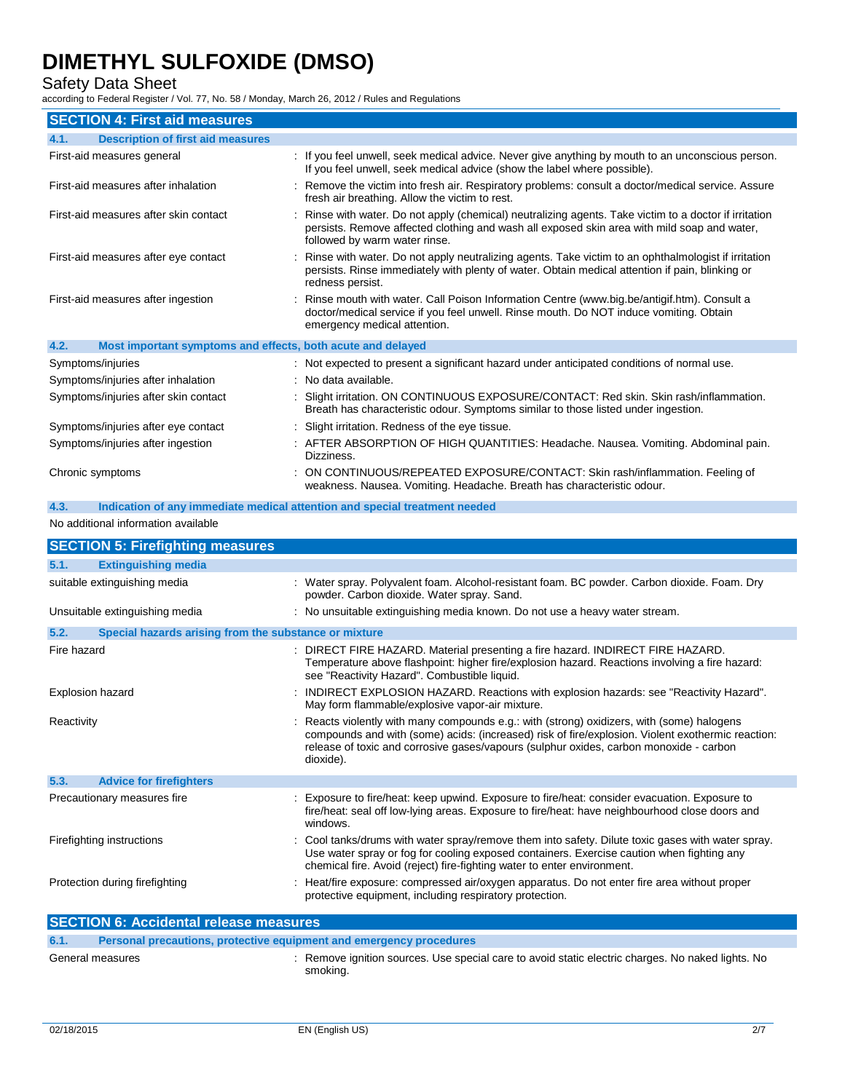### Safety Data Sheet

according to Federal Register / Vol. 77, No. 58 / Monday, March 26, 2012 / Rules and Regulations

| <b>SECTION 4: First aid measures</b>                                |                                                                                                                                                                                                                                        |
|---------------------------------------------------------------------|----------------------------------------------------------------------------------------------------------------------------------------------------------------------------------------------------------------------------------------|
| <b>Description of first aid measures</b><br>4.1.                    |                                                                                                                                                                                                                                        |
| First-aid measures general                                          | : If you feel unwell, seek medical advice. Never give anything by mouth to an unconscious person.<br>If you feel unwell, seek medical advice (show the label where possible).                                                          |
| First-aid measures after inhalation                                 | : Remove the victim into fresh air. Respiratory problems: consult a doctor/medical service. Assure<br>fresh air breathing. Allow the victim to rest.                                                                                   |
| First-aid measures after skin contact                               | : Rinse with water. Do not apply (chemical) neutralizing agents. Take victim to a doctor if irritation<br>persists. Remove affected clothing and wash all exposed skin area with mild soap and water,<br>followed by warm water rinse. |
| First-aid measures after eye contact                                | : Rinse with water. Do not apply neutralizing agents. Take victim to an ophthalmologist if irritation<br>persists. Rinse immediately with plenty of water. Obtain medical attention if pain, blinking or<br>redness persist.           |
| First-aid measures after ingestion                                  | : Rinse mouth with water. Call Poison Information Centre (www.big.be/antigif.htm). Consult a<br>doctor/medical service if you feel unwell. Rinse mouth. Do NOT induce vomiting. Obtain<br>emergency medical attention.                 |
| 4.2.<br>Most important symptoms and effects, both acute and delayed |                                                                                                                                                                                                                                        |
| Symptoms/injuries                                                   | : Not expected to present a significant hazard under anticipated conditions of normal use.                                                                                                                                             |
| Symptoms/injuries after inhalation                                  | : No data available.                                                                                                                                                                                                                   |
| Symptoms/injuries after skin contact                                | : Slight irritation. ON CONTINUOUS EXPOSURE/CONTACT: Red skin. Skin rash/inflammation.<br>Breath has characteristic odour. Symptoms similar to those listed under ingestion.                                                           |
| Symptoms/injuries after eye contact                                 | : Slight irritation. Redness of the eye tissue.                                                                                                                                                                                        |
| Symptoms/injuries after ingestion                                   | : AFTER ABSORPTION OF HIGH QUANTITIES: Headache. Nausea. Vomiting. Abdominal pain.<br>Dizziness.                                                                                                                                       |
| Chronic symptoms                                                    | : ON CONTINUOUS/REPEATED EXPOSURE/CONTACT: Skin rash/inflammation. Feeling of<br>weakness. Nausea. Vomiting. Headache. Breath has characteristic odour.                                                                                |

**4.3. Indication of any immediate medical attention and special treatment needed**

#### No additional information available

| <b>SECTION 5: Firefighting measures</b>                                     |                                                                                                                                                                                                                                                                                                        |  |  |
|-----------------------------------------------------------------------------|--------------------------------------------------------------------------------------------------------------------------------------------------------------------------------------------------------------------------------------------------------------------------------------------------------|--|--|
| 5.1.<br><b>Extinguishing media</b>                                          |                                                                                                                                                                                                                                                                                                        |  |  |
| suitable extinguishing media                                                | : Water spray. Polyvalent foam. Alcohol-resistant foam. BC powder. Carbon dioxide. Foam. Dry<br>powder. Carbon dioxide. Water spray. Sand.                                                                                                                                                             |  |  |
| Unsuitable extinguishing media                                              | : No unsuitable extinguishing media known. Do not use a heavy water stream.                                                                                                                                                                                                                            |  |  |
| 5.2.<br>Special hazards arising from the substance or mixture               |                                                                                                                                                                                                                                                                                                        |  |  |
| Fire hazard                                                                 | : DIRECT FIRE HAZARD. Material presenting a fire hazard. INDIRECT FIRE HAZARD.<br>Temperature above flashpoint: higher fire/explosion hazard. Reactions involving a fire hazard:<br>see "Reactivity Hazard". Combustible liquid.                                                                       |  |  |
| Explosion hazard                                                            | : INDIRECT EXPLOSION HAZARD. Reactions with explosion hazards: see "Reactivity Hazard".<br>May form flammable/explosive vapor-air mixture.                                                                                                                                                             |  |  |
| Reactivity                                                                  | : Reacts violently with many compounds e.g.: with (strong) oxidizers, with (some) halogens<br>compounds and with (some) acids: (increased) risk of fire/explosion. Violent exothermic reaction:<br>release of toxic and corrosive gases/vapours (sulphur oxides, carbon monoxide - carbon<br>dioxide). |  |  |
| 5.3.<br><b>Advice for firefighters</b>                                      |                                                                                                                                                                                                                                                                                                        |  |  |
| Precautionary measures fire                                                 | : Exposure to fire/heat: keep upwind. Exposure to fire/heat: consider evacuation. Exposure to<br>fire/heat: seal off low-lying areas. Exposure to fire/heat: have neighbourhood close doors and<br>windows.                                                                                            |  |  |
| Firefighting instructions                                                   | : Cool tanks/drums with water spray/remove them into safety. Dilute toxic gases with water spray.<br>Use water spray or fog for cooling exposed containers. Exercise caution when fighting any<br>chemical fire. Avoid (reject) fire-fighting water to enter environment.                              |  |  |
| Protection during firefighting                                              | : Heat/fire exposure: compressed air/oxygen apparatus. Do not enter fire area without proper<br>protective equipment, including respiratory protection.                                                                                                                                                |  |  |
| <b>SECTION 6: Accidental release measures</b>                               |                                                                                                                                                                                                                                                                                                        |  |  |
| 6.1.<br>Personal precautions, protective equipment and emergency procedures |                                                                                                                                                                                                                                                                                                        |  |  |

| General measures | : Remove ignition sources. Use special care to avoid static electric charges. No naked lights. No |
|------------------|---------------------------------------------------------------------------------------------------|
|                  | smoking.                                                                                          |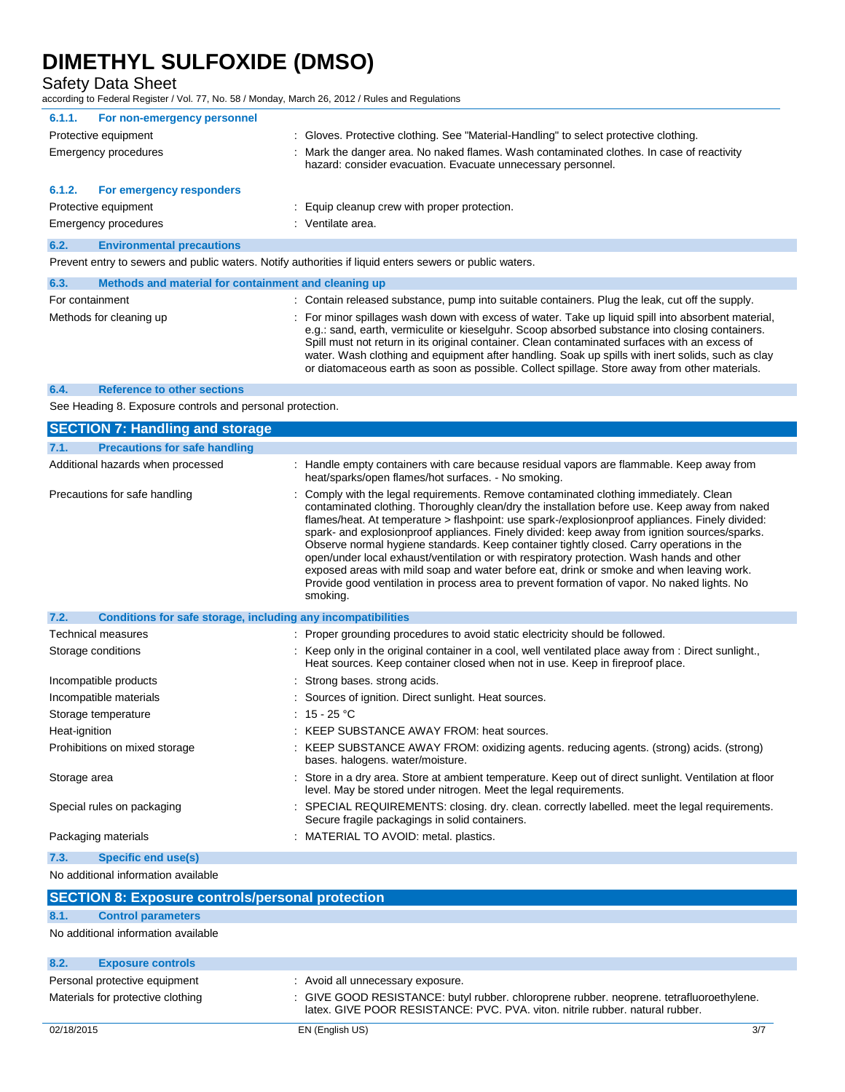Safety Data Sheet

according to Federal Register / Vol. 77, No. 58 / Monday, March 26, 2012 / Rules and Regulations

| For non-emergency personnel<br>6.1.1.                                                                   |                                                                                                                                                           |  |
|---------------------------------------------------------------------------------------------------------|-----------------------------------------------------------------------------------------------------------------------------------------------------------|--|
| Protective equipment                                                                                    | : Gloves. Protective clothing. See "Material-Handling" to select protective clothing.                                                                     |  |
| Emergency procedures                                                                                    | : Mark the danger area. No naked flames. Wash contaminated clothes. In case of reactivity<br>hazard: consider evacuation. Evacuate unnecessary personnel. |  |
| For emergency responders<br>6.1.2.                                                                      |                                                                                                                                                           |  |
| Protective equipment                                                                                    | : Equip cleanup crew with proper protection.                                                                                                              |  |
| Emergency procedures                                                                                    | : Ventilate area.                                                                                                                                         |  |
| 6.2.<br><b>Environmental precautions</b>                                                                |                                                                                                                                                           |  |
| Prevent entry to sewers and public waters. Notify authorities if liquid enters sewers or public waters. |                                                                                                                                                           |  |

| 6.3.            | Methods and material for containment and cleaning up |                                                                                                                                                                                                                                                                                                                                                                                                                                                                                                                |
|-----------------|------------------------------------------------------|----------------------------------------------------------------------------------------------------------------------------------------------------------------------------------------------------------------------------------------------------------------------------------------------------------------------------------------------------------------------------------------------------------------------------------------------------------------------------------------------------------------|
| For containment |                                                      | : Contain released substance, pump into suitable containers. Plug the leak, cut off the supply.                                                                                                                                                                                                                                                                                                                                                                                                                |
|                 | Methods for cleaning up                              | : For minor spillages wash down with excess of water. Take up liquid spill into absorbent material,<br>e.g.: sand, earth, vermiculite or kieselguhr. Scoop absorbed substance into closing containers.<br>Spill must not return in its original container. Clean contaminated surfaces with an excess of<br>water. Wash clothing and equipment after handling. Soak up spills with inert solids, such as clay<br>or diatomaceous earth as soon as possible. Collect spillage. Store away from other materials. |

#### **6.4. Reference to other sections**

See Heading 8. Exposure controls and personal protection.

| <b>SECTION 7: Handling and storage</b>                               |                                                                                                                                                                                                                                                                                                                                                                                                                                                                                                                                                                                                                                                                                                                                                                                          |
|----------------------------------------------------------------------|------------------------------------------------------------------------------------------------------------------------------------------------------------------------------------------------------------------------------------------------------------------------------------------------------------------------------------------------------------------------------------------------------------------------------------------------------------------------------------------------------------------------------------------------------------------------------------------------------------------------------------------------------------------------------------------------------------------------------------------------------------------------------------------|
| <b>Precautions for safe handling</b><br>7.1.                         |                                                                                                                                                                                                                                                                                                                                                                                                                                                                                                                                                                                                                                                                                                                                                                                          |
| Additional hazards when processed                                    | Handle empty containers with care because residual vapors are flammable. Keep away from<br>heat/sparks/open flames/hot surfaces. - No smoking.                                                                                                                                                                                                                                                                                                                                                                                                                                                                                                                                                                                                                                           |
| Precautions for safe handling                                        | Comply with the legal requirements. Remove contaminated clothing immediately. Clean<br>contaminated clothing. Thoroughly clean/dry the installation before use. Keep away from naked<br>flames/heat. At temperature > flashpoint: use spark-/explosionproof appliances. Finely divided:<br>spark- and explosionproof appliances. Finely divided: keep away from ignition sources/sparks.<br>Observe normal hygiene standards. Keep container tightly closed. Carry operations in the<br>open/under local exhaust/ventilation or with respiratory protection. Wash hands and other<br>exposed areas with mild soap and water before eat, drink or smoke and when leaving work.<br>Provide good ventilation in process area to prevent formation of vapor. No naked lights. No<br>smoking. |
| Conditions for safe storage, including any incompatibilities<br>7.2. |                                                                                                                                                                                                                                                                                                                                                                                                                                                                                                                                                                                                                                                                                                                                                                                          |
| Technical measures                                                   | : Proper grounding procedures to avoid static electricity should be followed.                                                                                                                                                                                                                                                                                                                                                                                                                                                                                                                                                                                                                                                                                                            |
| Storage conditions                                                   | : Keep only in the original container in a cool, well ventilated place away from : Direct sunlight.,<br>Heat sources. Keep container closed when not in use. Keep in fireproof place.                                                                                                                                                                                                                                                                                                                                                                                                                                                                                                                                                                                                    |
| Incompatible products                                                | Strong bases, strong acids.                                                                                                                                                                                                                                                                                                                                                                                                                                                                                                                                                                                                                                                                                                                                                              |
| Incompatible materials                                               | Sources of ignition. Direct sunlight. Heat sources.                                                                                                                                                                                                                                                                                                                                                                                                                                                                                                                                                                                                                                                                                                                                      |
| Storage temperature                                                  | : $15 - 25$ °C                                                                                                                                                                                                                                                                                                                                                                                                                                                                                                                                                                                                                                                                                                                                                                           |
| Heat-ignition                                                        | : KEEP SUBSTANCE AWAY FROM: heat sources.                                                                                                                                                                                                                                                                                                                                                                                                                                                                                                                                                                                                                                                                                                                                                |
| Prohibitions on mixed storage                                        | KEEP SUBSTANCE AWAY FROM: oxidizing agents. reducing agents. (strong) acids. (strong)<br>bases. halogens. water/moisture.                                                                                                                                                                                                                                                                                                                                                                                                                                                                                                                                                                                                                                                                |
| Storage area                                                         | Store in a dry area. Store at ambient temperature. Keep out of direct sunlight. Ventilation at floor<br>level. May be stored under nitrogen. Meet the legal requirements.                                                                                                                                                                                                                                                                                                                                                                                                                                                                                                                                                                                                                |
| Special rules on packaging                                           | SPECIAL REQUIREMENTS: closing. dry. clean. correctly labelled. meet the legal requirements.<br>Secure fragile packagings in solid containers.                                                                                                                                                                                                                                                                                                                                                                                                                                                                                                                                                                                                                                            |
| Packaging materials                                                  | : MATERIAL TO AVOID: metal. plastics.                                                                                                                                                                                                                                                                                                                                                                                                                                                                                                                                                                                                                                                                                                                                                    |
| <b>Specific end use(s)</b><br>7.3.                                   |                                                                                                                                                                                                                                                                                                                                                                                                                                                                                                                                                                                                                                                                                                                                                                                          |
| No additional information available                                  |                                                                                                                                                                                                                                                                                                                                                                                                                                                                                                                                                                                                                                                                                                                                                                                          |
| <b>SECTION 8: Exposure controls/personal protection</b>              |                                                                                                                                                                                                                                                                                                                                                                                                                                                                                                                                                                                                                                                                                                                                                                                          |

### **8.1. Control parameters**

No additional information available

| 8.2. | <b>Exposure controls</b>          |                                                                                                                                                                           |
|------|-----------------------------------|---------------------------------------------------------------------------------------------------------------------------------------------------------------------------|
|      | Personal protective equipment     | : Avoid all unnecessary exposure.                                                                                                                                         |
|      | Materials for protective clothing | : GIVE GOOD RESISTANCE: butyl rubber. chloroprene rubber. neoprene. tetrafluoroethylene.<br>latex. GIVE POOR RESISTANCE: PVC. PVA. viton. nitrile rubber. natural rubber. |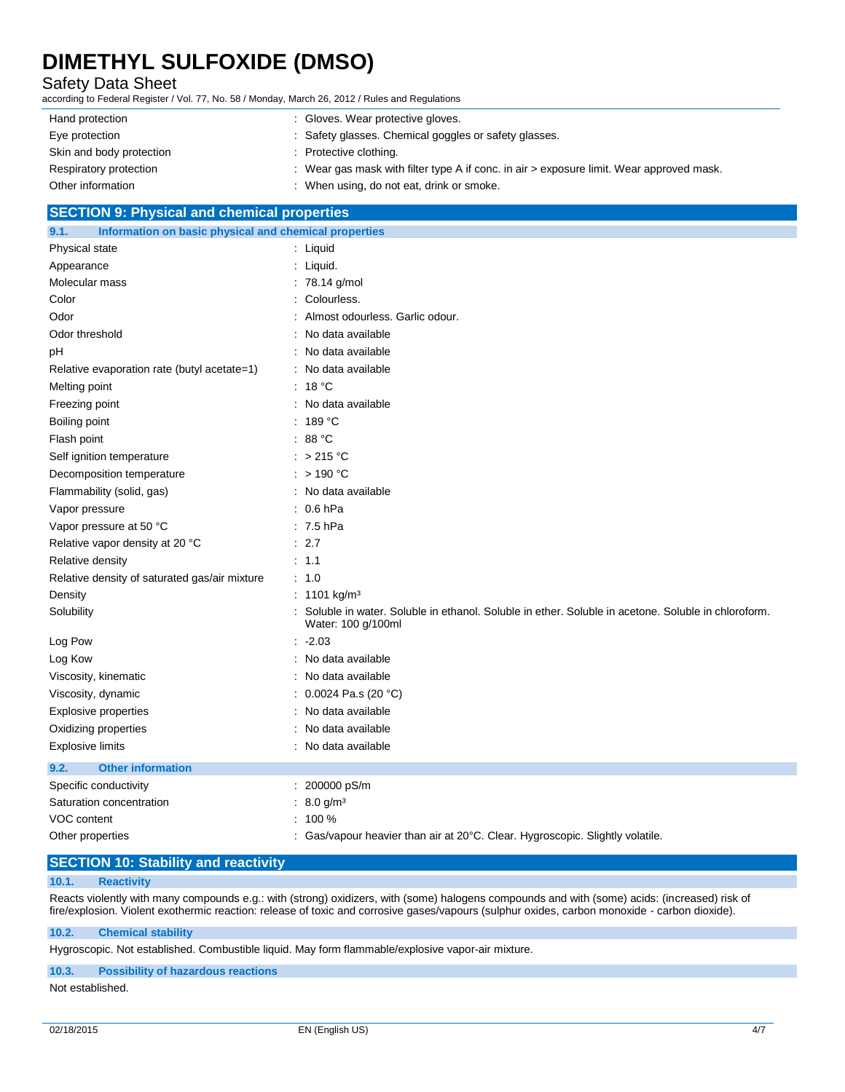### Safety Data Sheet

according to Federal Register / Vol. 77, No. 58 / Monday, March 26, 2012 / Rules and Regulations

| Hand protection          | : Gloves. Wear protective gloves.                                                          |
|--------------------------|--------------------------------------------------------------------------------------------|
| Eye protection           | : Safety glasses. Chemical goggles or safety glasses.                                      |
| Skin and body protection | : Protective clothing.                                                                     |
| Respiratory protection   | : Wear gas mask with filter type A if conc. in air $>$ exposure limit. Wear approved mask. |
| Other information        | When using, do not eat, drink or smoke.                                                    |

### **SECTION 9: Physical and chemical properties**

| 9.1.<br>Information on basic physical and chemical properties |                                                                                                                          |  |
|---------------------------------------------------------------|--------------------------------------------------------------------------------------------------------------------------|--|
| Physical state                                                | : Liquid                                                                                                                 |  |
| Appearance                                                    | : Liquid.                                                                                                                |  |
| Molecular mass                                                | 78.14 g/mol                                                                                                              |  |
| Color                                                         | Colourless.                                                                                                              |  |
| Odor                                                          | Almost odourless. Garlic odour.                                                                                          |  |
| Odor threshold                                                | No data available                                                                                                        |  |
| рH                                                            | : No data available                                                                                                      |  |
| Relative evaporation rate (butyl acetate=1)                   | : No data available                                                                                                      |  |
| Melting point                                                 | : $18 °C$                                                                                                                |  |
| Freezing point                                                | : No data available                                                                                                      |  |
| Boiling point                                                 | : 189 °C                                                                                                                 |  |
| Flash point                                                   | : 88 $^{\circ}$ C                                                                                                        |  |
| Self ignition temperature                                     | : $>215^{\circ}$ C                                                                                                       |  |
| Decomposition temperature                                     | : $> 190 °C$                                                                                                             |  |
| Flammability (solid, gas)                                     | No data available                                                                                                        |  |
| Vapor pressure                                                | $: 0.6$ hPa                                                                                                              |  |
| Vapor pressure at 50 °C                                       | $: 7.5$ hPa                                                                                                              |  |
| Relative vapor density at 20 °C                               | : 2.7                                                                                                                    |  |
| Relative density                                              | : 1.1                                                                                                                    |  |
| Relative density of saturated gas/air mixture                 | : 1.0                                                                                                                    |  |
| Density                                                       | : 1101 kg/m <sup>3</sup>                                                                                                 |  |
| Solubility                                                    | Soluble in water. Soluble in ethanol. Soluble in ether. Soluble in acetone. Soluble in chloroform.<br>Water: 100 g/100ml |  |
| Log Pow                                                       | $: -2.03$                                                                                                                |  |
| Log Kow                                                       | : No data available                                                                                                      |  |
| Viscosity, kinematic                                          | No data available                                                                                                        |  |
| Viscosity, dynamic                                            | 0.0024 Pa.s (20 °C)                                                                                                      |  |
| <b>Explosive properties</b>                                   | No data available                                                                                                        |  |
| Oxidizing properties                                          | No data available                                                                                                        |  |
| <b>Explosive limits</b>                                       | : No data available                                                                                                      |  |
| <b>Other information</b><br>9.2.                              |                                                                                                                          |  |
| Specific conductivity                                         | 200000 pS/m                                                                                                              |  |
| Saturation concentration                                      | 8.0 g/m <sup>3</sup>                                                                                                     |  |
| VOC content                                                   | 100 %                                                                                                                    |  |
| Other properties                                              | Gas/vapour heavier than air at 20°C. Clear. Hygroscopic. Slightly volatile.                                              |  |

### **SECTION 10: Stability and reactivity**

### **10.1. Reactivity**

Reacts violently with many compounds e.g.: with (strong) oxidizers, with (some) halogens compounds and with (some) acids: (increased) risk of fire/explosion. Violent exothermic reaction: release of toxic and corrosive gases/vapours (sulphur oxides, carbon monoxide - carbon dioxide).

#### **10.2. Chemical stability**

Hygroscopic. Not established. Combustible liquid. May form flammable/explosive vapor-air mixture.

#### **10.3. Possibility of hazardous reactions**

Not established.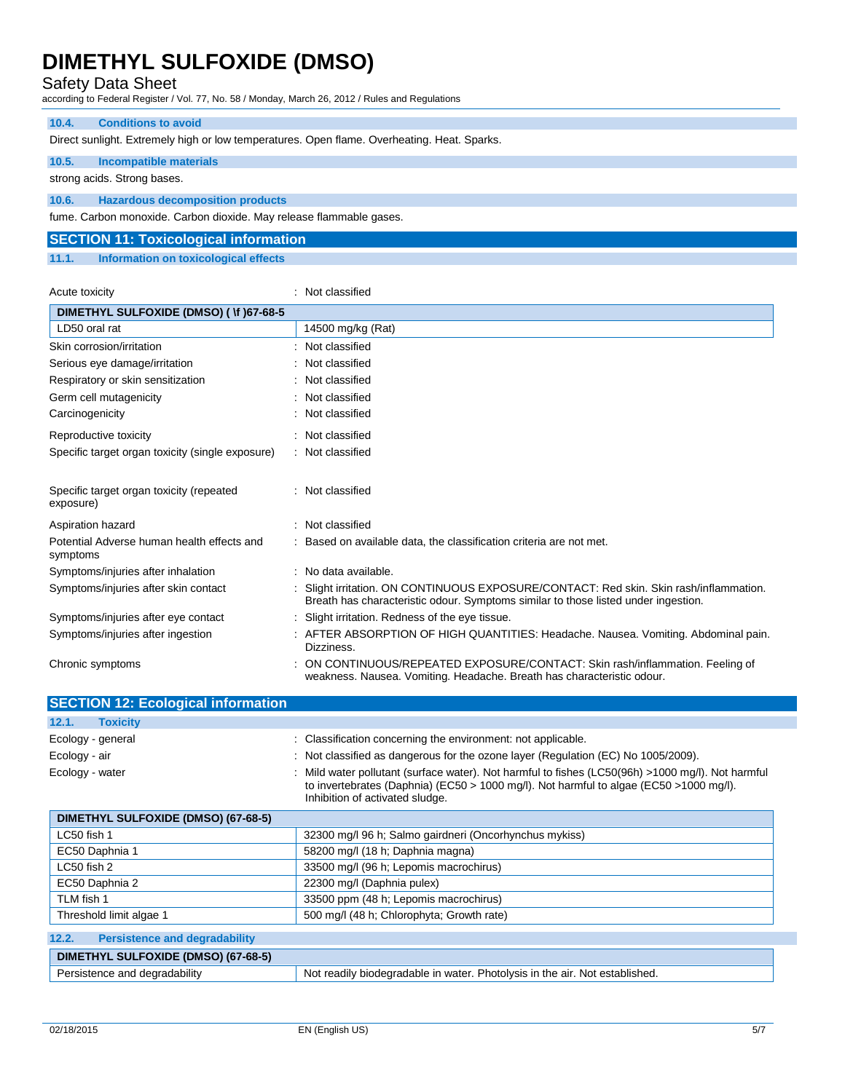### Safety Data Sheet

according to Federal Register / Vol. 77, No. 58 / Monday, March 26, 2012 / Rules and Regulations

#### **10.4. Conditions to avoid**

Direct sunlight. Extremely high or low temperatures. Open flame. Overheating. Heat. Sparks.

### **10.5. Incompatible materials**

strong acids. Strong bases.

### **10.6. Hazardous decomposition products**

fume. Carbon monoxide. Carbon dioxide. May release flammable gases.

### **SECTION 11: Toxicological information**

**11.1. Information on toxicological effects**

| Acute toxicity                                         | : Not classified                                                                                                                                                             |
|--------------------------------------------------------|------------------------------------------------------------------------------------------------------------------------------------------------------------------------------|
| DIMETHYL SULFOXIDE (DMSO) ( \f )67-68-5                |                                                                                                                                                                              |
| LD50 oral rat                                          | 14500 mg/kg (Rat)                                                                                                                                                            |
| Skin corrosion/irritation                              | : Not classified                                                                                                                                                             |
| Serious eye damage/irritation                          | : Not classified                                                                                                                                                             |
| Respiratory or skin sensitization                      | : Not classified                                                                                                                                                             |
| Germ cell mutagenicity                                 | : Not classified                                                                                                                                                             |
| Carcinogenicity                                        | : Not classified                                                                                                                                                             |
| Reproductive toxicity                                  | : Not classified                                                                                                                                                             |
| Specific target organ toxicity (single exposure)       | : Not classified                                                                                                                                                             |
| Specific target organ toxicity (repeated<br>exposure)  | : Not classified                                                                                                                                                             |
| Aspiration hazard                                      | : Not classified                                                                                                                                                             |
| Potential Adverse human health effects and<br>symptoms | : Based on available data, the classification criteria are not met.                                                                                                          |
| Symptoms/injuries after inhalation                     | : No data available.                                                                                                                                                         |
| Symptoms/injuries after skin contact                   | : Slight irritation. ON CONTINUOUS EXPOSURE/CONTACT: Red skin. Skin rash/inflammation.<br>Breath has characteristic odour. Symptoms similar to those listed under ingestion. |
| Symptoms/injuries after eye contact                    | : Slight irritation. Redness of the eye tissue.                                                                                                                              |
| Symptoms/injuries after ingestion                      | : AFTER ABSORPTION OF HIGH QUANTITIES: Headache. Nausea. Vomiting. Abdominal pain.<br>Dizziness.                                                                             |
| Chronic symptoms                                       | ON CONTINUOUS/REPEATED EXPOSURE/CONTACT: Skin rash/inflammation. Feeling of<br>weakness. Nausea. Vomiting. Headache. Breath has characteristic odour.                        |

| <b>SECTION 12: Ecological information</b>     |                                                                                                                                                                                                                                 |
|-----------------------------------------------|---------------------------------------------------------------------------------------------------------------------------------------------------------------------------------------------------------------------------------|
| 12.1.<br><b>Toxicity</b>                      |                                                                                                                                                                                                                                 |
| Ecology - general                             | : Classification concerning the environment: not applicable.                                                                                                                                                                    |
| Ecology - air                                 | : Not classified as dangerous for the ozone layer (Regulation (EC) No 1005/2009).                                                                                                                                               |
| Ecology - water                               | : Mild water pollutant (surface water). Not harmful to fishes (LC50(96h) >1000 mg/l). Not harmful<br>to invertebrates (Daphnia) (EC50 > 1000 mg/l). Not harmful to algae (EC50 > 1000 mg/l).<br>Inhibition of activated sludge. |
| DIMETHYL SULFOXIDE (DMSO) (67-68-5)           |                                                                                                                                                                                                                                 |
| LC50 fish 1                                   | 32300 mg/l 96 h; Salmo gairdneri (Oncorhynchus mykiss)                                                                                                                                                                          |
| EC50 Daphnia 1                                | 58200 mg/l (18 h; Daphnia magna)                                                                                                                                                                                                |
| $LC50$ fish 2                                 | 33500 mg/l (96 h; Lepomis macrochirus)                                                                                                                                                                                          |
| EC50 Daphnia 2                                | 22300 mg/l (Daphnia pulex)                                                                                                                                                                                                      |
| TLM fish 1                                    | 33500 ppm (48 h; Lepomis macrochirus)                                                                                                                                                                                           |
| Threshold limit algae 1                       | 500 mg/l (48 h; Chlorophyta; Growth rate)                                                                                                                                                                                       |
| 12.2.<br><b>Persistence and degradability</b> |                                                                                                                                                                                                                                 |

## **DIMETHYL SULFOXIDE (DMSO) (67-68-5)** Persistence and degradability Not readily biodegradable in water. Photolysis in the air. Not established.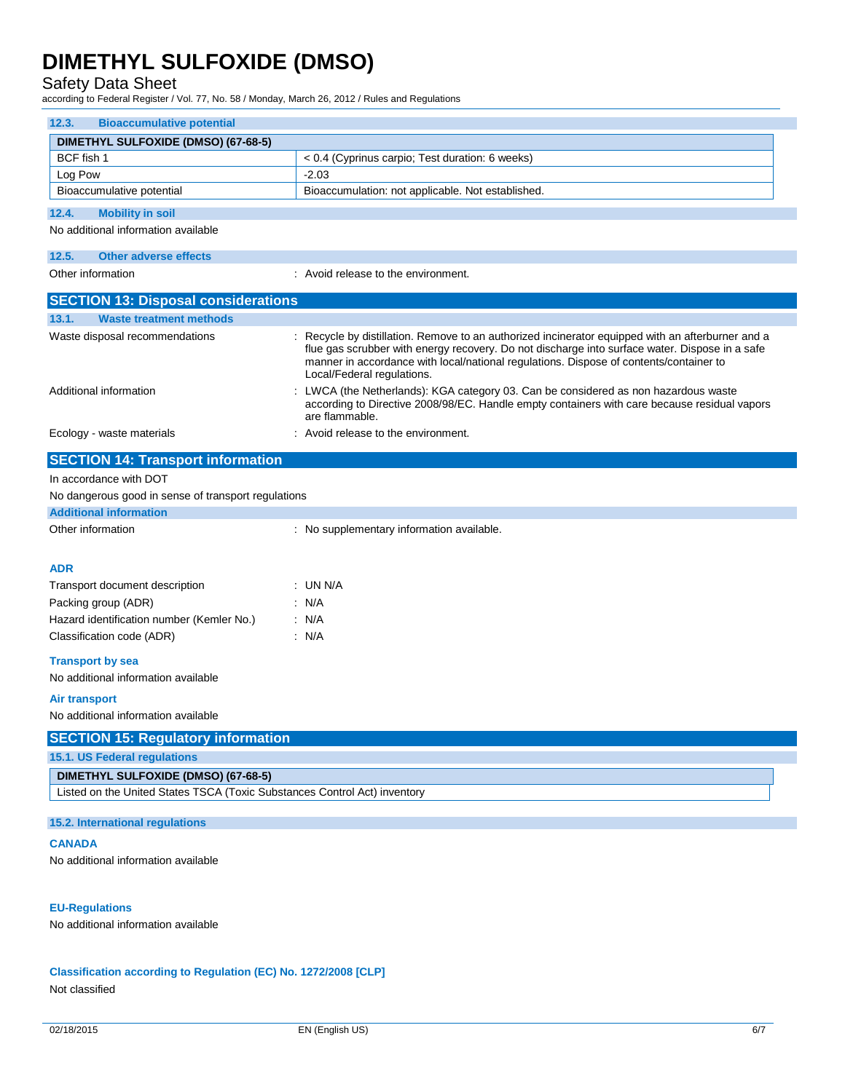### Safety Data Sheet

according to Federal Register / Vol. 77, No. 58 / Monday, March 26, 2012 / Rules and Regulations

| <b>Bioaccumulative potential</b><br>12.3.                                 |                                                                                                                                                                                                                                                                                                                             |  |  |  |
|---------------------------------------------------------------------------|-----------------------------------------------------------------------------------------------------------------------------------------------------------------------------------------------------------------------------------------------------------------------------------------------------------------------------|--|--|--|
| DIMETHYL SULFOXIDE (DMSO) (67-68-5)                                       |                                                                                                                                                                                                                                                                                                                             |  |  |  |
| BCF fish 1                                                                | < 0.4 (Cyprinus carpio; Test duration: 6 weeks)                                                                                                                                                                                                                                                                             |  |  |  |
| Log Pow                                                                   | $-2.03$                                                                                                                                                                                                                                                                                                                     |  |  |  |
| Bioaccumulative potential                                                 | Bioaccumulation: not applicable. Not established.                                                                                                                                                                                                                                                                           |  |  |  |
| 12.4.<br><b>Mobility in soil</b>                                          |                                                                                                                                                                                                                                                                                                                             |  |  |  |
| No additional information available                                       |                                                                                                                                                                                                                                                                                                                             |  |  |  |
| 12.5.<br><b>Other adverse effects</b>                                     |                                                                                                                                                                                                                                                                                                                             |  |  |  |
| Other information                                                         | : Avoid release to the environment.                                                                                                                                                                                                                                                                                         |  |  |  |
| <b>SECTION 13: Disposal considerations</b>                                |                                                                                                                                                                                                                                                                                                                             |  |  |  |
| <b>Waste treatment methods</b><br>13.1.                                   |                                                                                                                                                                                                                                                                                                                             |  |  |  |
| Waste disposal recommendations                                            | : Recycle by distillation. Remove to an authorized incinerator equipped with an afterburner and a<br>flue gas scrubber with energy recovery. Do not discharge into surface water. Dispose in a safe<br>manner in accordance with local/national regulations. Dispose of contents/container to<br>Local/Federal regulations. |  |  |  |
| Additional information                                                    | LWCA (the Netherlands): KGA category 03. Can be considered as non hazardous waste<br>according to Directive 2008/98/EC. Handle empty containers with care because residual vapors<br>are flammable.                                                                                                                         |  |  |  |
| Ecology - waste materials                                                 | : Avoid release to the environment.                                                                                                                                                                                                                                                                                         |  |  |  |
| <b>SECTION 14: Transport information</b>                                  |                                                                                                                                                                                                                                                                                                                             |  |  |  |
| In accordance with DOT                                                    |                                                                                                                                                                                                                                                                                                                             |  |  |  |
| No dangerous good in sense of transport regulations                       |                                                                                                                                                                                                                                                                                                                             |  |  |  |
| <b>Additional information</b>                                             |                                                                                                                                                                                                                                                                                                                             |  |  |  |
| Other information                                                         | : No supplementary information available.                                                                                                                                                                                                                                                                                   |  |  |  |
|                                                                           |                                                                                                                                                                                                                                                                                                                             |  |  |  |
| <b>ADR</b>                                                                |                                                                                                                                                                                                                                                                                                                             |  |  |  |
| Transport document description                                            | : UN N/A                                                                                                                                                                                                                                                                                                                    |  |  |  |
| Packing group (ADR)                                                       | : N/A                                                                                                                                                                                                                                                                                                                       |  |  |  |
| Hazard identification number (Kemler No.)                                 | : N/A                                                                                                                                                                                                                                                                                                                       |  |  |  |
| Classification code (ADR)                                                 | : N/A                                                                                                                                                                                                                                                                                                                       |  |  |  |
| <b>Transport by sea</b>                                                   |                                                                                                                                                                                                                                                                                                                             |  |  |  |
| No additional information available                                       |                                                                                                                                                                                                                                                                                                                             |  |  |  |
| <b>Air transport</b>                                                      |                                                                                                                                                                                                                                                                                                                             |  |  |  |
| No additional information available                                       |                                                                                                                                                                                                                                                                                                                             |  |  |  |
| <b>SECTION 15: Regulatory information</b>                                 |                                                                                                                                                                                                                                                                                                                             |  |  |  |
| 15.1. US Federal regulations                                              |                                                                                                                                                                                                                                                                                                                             |  |  |  |
| DIMETHYL SULFOXIDE (DMSO) (67-68-5)                                       |                                                                                                                                                                                                                                                                                                                             |  |  |  |
| Listed on the United States TSCA (Toxic Substances Control Act) inventory |                                                                                                                                                                                                                                                                                                                             |  |  |  |
|                                                                           |                                                                                                                                                                                                                                                                                                                             |  |  |  |
| 15.2. International regulations                                           |                                                                                                                                                                                                                                                                                                                             |  |  |  |
| <b>CANADA</b>                                                             |                                                                                                                                                                                                                                                                                                                             |  |  |  |
| No additional information available                                       |                                                                                                                                                                                                                                                                                                                             |  |  |  |
|                                                                           |                                                                                                                                                                                                                                                                                                                             |  |  |  |
| <b>EU-Regulations</b>                                                     |                                                                                                                                                                                                                                                                                                                             |  |  |  |
| No additional information available                                       |                                                                                                                                                                                                                                                                                                                             |  |  |  |
|                                                                           |                                                                                                                                                                                                                                                                                                                             |  |  |  |

**Classification according to Regulation (EC) No. 1272/2008 [CLP]**

Not classified